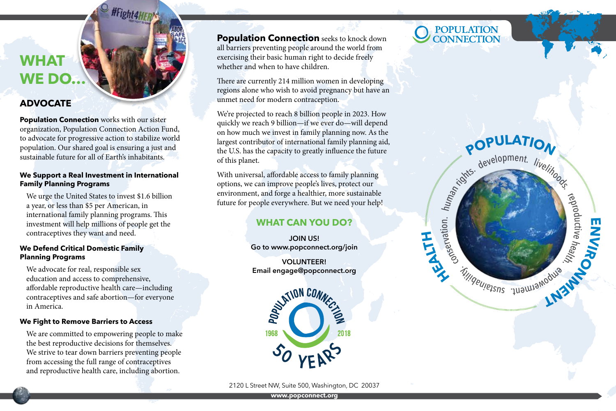# **WHAT WE DO…**

### **ADVOCATE**

**Population Connection** works with our sister organization, Population Connection Action Fund, to advocate for progressive action to stabilize world population. Our shared goal is ensuring a just and sustainable future for all of Earth's inhabitants.

#Fight4H

#### **We Support a Real Investment in International Family Planning Programs**

We urge the United States to invest \$1.6 billion a year, or less than \$5 per American, in international family planning programs. This investment will help millions of people get the contraceptives they want and need.

#### **We Defend Critical Domestic Family Planning Programs**

We advocate for real, responsible sex education and access to comprehensive, affordable reproductive health care—including contraceptives and safe abortion—for everyone in America.

#### **We Fight to Remove Barriers to Access**

We are committed to empowering people to make the best reproductive decisions for themselves. We strive to tear down barriers preventing people from accessing the full range of contraceptives and reproductive health care, including abortion.

**Population Connection** seeks to knock down all barriers preventing people around the world from exercising their basic human right to decide freely whether and when to have children.

There are currently 214 million women in developing regions alone who wish to avoid pregnancy but have an unmet need for modern contraception.

We're projected to reach 8 billion people in 2023. How quickly we reach 9 billion—if we ever do—will depend on how much we invest in family planning now. As the largest contributor of international family planning aid, the U.S. has the capacity to greatly influence the future of this planet.

With universal, affordable access to family planning options, we can improve people's lives, protect our environment, and forge a healthier, more sustainable future for people everywhere. But we need your help!

### **WHAT CAN YOU DO?**

**JOIN US! Go to www.popconnect.org/join** 

**VOLUNTEER! Email engage@popconnect.org**



2120 L Street NW, Suite 500, Washington, DC 20037

# POPULATION<br>CONNECTION